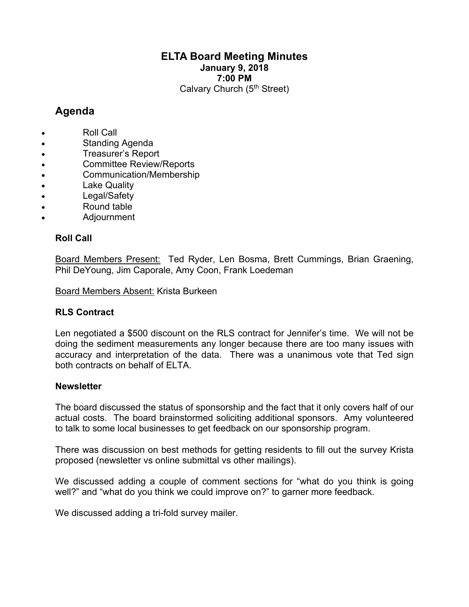# **ELTA Board Meeting Minutes January 9, 2018 7:00 PM** Calvary Church (5<sup>th</sup> Street)

# **Agenda**

- Roll Call
- Standing Agenda
- Treasurer's Report
- Committee Review/Reports
- Communication/Membership
- **Lake Quality**
- Legal/Safety
- Round table
- Adjournment

# **Roll Call**

Board Members Present: Ted Ryder, Len Bosma, Brett Cummings, Brian Graening, Phil DeYoung, Jim Caporale, Amy Coon, Frank Loedeman

Board Members Absent: Krista Burkeen

## **RLS Contract**

Len negotiated a \$500 discount on the RLS contract for Jennifer's time. We will not be doing the sediment measurements any longer because there are too many issues with accuracy and interpretation of the data. There was a unanimous vote that Ted sign both contracts on behalf of ELTA.

## **Newsletter**

The board discussed the status of sponsorship and the fact that it only covers half of our actual costs. The board brainstormed soliciting additional sponsors. Amy volunteered to talk to some local businesses to get feedback on our sponsorship program.

There was discussion on best methods for getting residents to fill out the survey Krista proposed (newsletter vs online submittal vs other mailings).

We discussed adding a couple of comment sections for "what do you think is going well?" and "what do you think we could improve on?" to garner more feedback.

We discussed adding a tri-fold survey mailer.